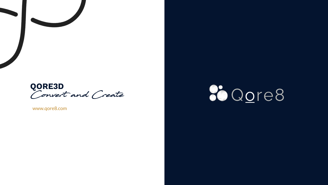

www.qore8.com

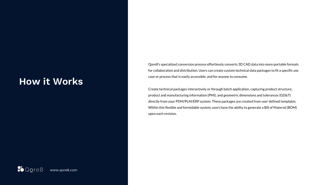### **How it Works**

Qore8's specialized conversion process effortlessly converts 3D CAD data into more portable formats for collaboration and distribution. Users can create custom technical data packages to fit a specific use case or process that is easily accessible, and for anyone to consume.

Create technical packages interactively or through batch application, capturing product structure, product and manufacturing information (PMI), and geometric dimensions and tolerances (GD&T) directly from your PDM/PLM/ERP system. These packages are created from user defined templates. Within this flexible and formidable system, users have the ability to generate a Bill of Material (BOM) upon each revision.

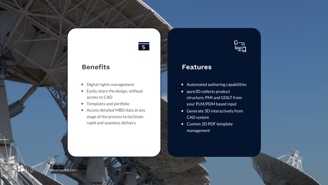# $\overline{\mathsf{S}}$

#### **Benefits**

- $\bullet$  Digital rights management
- $\triangleq$  Easily share the design, without access to CAD
- ◆ Templates and portfolio
- ⬥ Access detailed MBD data at any stage of the process to facilitate rapid and seamless delivery



#### **Features**

- $\triangleleft$  Automated authoring capabilities
- ◆ qore3D collects product structure, PMI and GD&T from your PLM/PDM based input
- ◆ Generate 3D interactively from CAD system
- ◆ Custom 3D PDF template management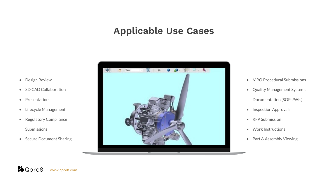### **Applicable Use Cases**

- Design Review
- 3D CAD Collaboration
- Presentations
- Lifecycle Management
- Regulatory Compliance Submissions
- Secure Document Sharing



- MRO Procedural Submissions
- Quality Management Systems Documentation (SOPs/WIs)
- Inspection Approvals
- RFP Submission
- Work Instructions
- Part & Assembly Viewing